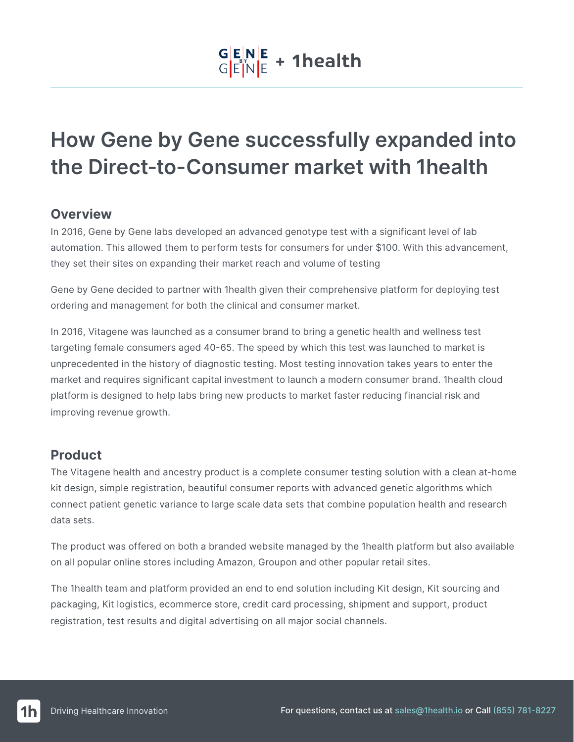# $\frac{|\mathbf{G}|\mathbf{E}|\mathbf{N}| \mathbf{E}}{|\mathbf{G}|\mathbf{E}|\mathbf{N}| \mathbf{E}}$  + 1 health

## **How Gene by Gene successfully expanded into the Direct-to-Consumer market with 1health**

#### **Overview**

In 2016, Gene by Gene labs developed an advanced genotype test with a significant level of lab automation. This allowed them to perform tests for consumers for under \$100. With this advancement, they set their sites on expanding their market reach and volume of testing

Gene by Gene decided to partner with 1health given their comprehensive platform for deploying test ordering and management for both the clinical and consumer market.

In 2016, Vitagene was launched as a consumer brand to bring a genetic health and wellness test targeting female consumers aged 40-65. The speed by which this test was launched to market is unprecedented in the history of diagnostic testing. Most testing innovation takes years to enter the market and requires significant capital investment to launch a modern consumer brand. 1health cloud platform is designed to help labs bring new products to market faster reducing financial risk and improving revenue growth.

### **Product**

The Vitagene health and ancestry product is a complete consumer testing solution with a clean at-home kit design, simple registration, beautiful consumer reports with advanced genetic algorithms which connect patient genetic variance to large scale data sets that combine population health and research data sets.

The product was offered on both a branded website managed by the 1health platform but also available on all popular online stores including Amazon, Groupon and other popular retail sites.

The 1health team and platform provided an end to end solution including Kit design, Kit sourcing and packaging, Kit logistics, ecommerce store, credit card processing, shipment and support, product registration, test results and digital advertising on all major social channels.